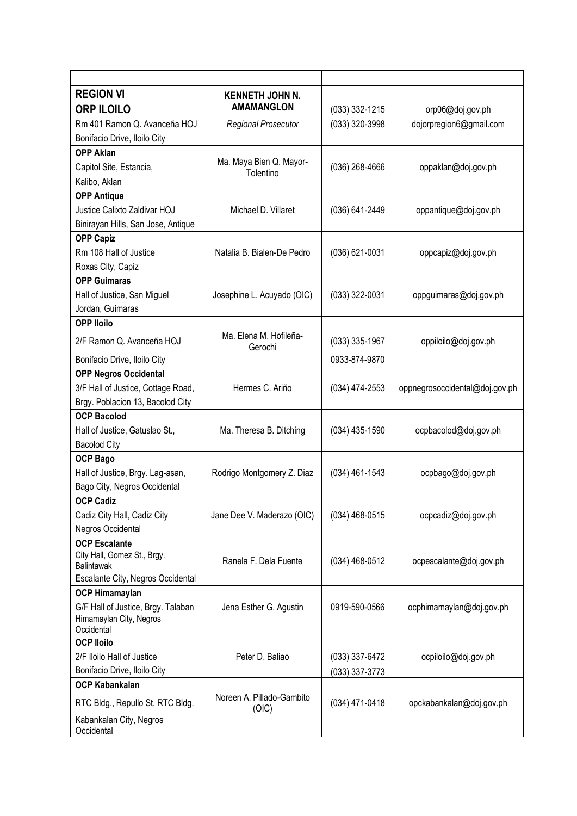| <b>REGION VI</b>                                 | <b>KENNETH JOHN N.</b>               |                  |                                |
|--------------------------------------------------|--------------------------------------|------------------|--------------------------------|
| <b>ORP ILOILO</b>                                | <b>AMAMANGLON</b>                    | $(033)$ 332-1215 | orp06@doj.gov.ph               |
| Rm 401 Ramon Q. Avanceña HOJ                     | <b>Regional Prosecutor</b>           | (033) 320-3998   | dojorpregion6@gmail.com        |
| Bonifacio Drive, Iloilo City                     |                                      |                  |                                |
| <b>OPP Aklan</b>                                 |                                      |                  |                                |
| Capitol Site, Estancia,                          | Ma. Maya Bien Q. Mayor-<br>Tolentino | $(036)$ 268-4666 | oppaklan@doj.gov.ph            |
| Kalibo, Aklan                                    |                                      |                  |                                |
| <b>OPP Antique</b>                               |                                      |                  |                                |
| Justice Calixto Zaldivar HOJ                     | Michael D. Villaret                  | (036) 641-2449   | oppantique@doj.gov.ph          |
| Binirayan Hills, San Jose, Antique               |                                      |                  |                                |
| <b>OPP Capiz</b>                                 |                                      |                  |                                |
| Rm 108 Hall of Justice                           | Natalia B. Bialen-De Pedro           | (036) 621-0031   | oppcapiz@doj.gov.ph            |
| Roxas City, Capiz                                |                                      |                  |                                |
| <b>OPP Guimaras</b>                              |                                      |                  |                                |
| Hall of Justice, San Miguel                      | Josephine L. Acuyado (OIC)           | (033) 322-0031   | oppguimaras@doj.gov.ph         |
| Jordan, Guimaras                                 |                                      |                  |                                |
| <b>OPP Iloilo</b>                                |                                      |                  |                                |
| 2/F Ramon Q. Avanceña HOJ                        | Ma. Elena M. Hofileña-<br>Gerochi    | $(033)$ 335-1967 | oppiloilo@doj.gov.ph           |
| Bonifacio Drive, Iloilo City                     |                                      | 0933-874-9870    |                                |
| <b>OPP Negros Occidental</b>                     |                                      |                  |                                |
| 3/F Hall of Justice, Cottage Road,               | Hermes C. Ariño                      | $(034)$ 474-2553 | oppnegrosoccidental@doj.gov.ph |
| Brgy. Poblacion 13, Bacolod City                 |                                      |                  |                                |
| <b>OCP Bacolod</b>                               |                                      |                  |                                |
| Hall of Justice, Gatuslao St.,                   | Ma. Theresa B. Ditching              | $(034)$ 435-1590 | ocpbacolod@doj.gov.ph          |
| <b>Bacolod City</b>                              |                                      |                  |                                |
| <b>OCP Bago</b>                                  |                                      |                  |                                |
| Hall of Justice, Brgy. Lag-asan,                 | Rodrigo Montgomery Z. Diaz           | $(034)$ 461-1543 | ocpbago@doj.gov.ph             |
| Bago City, Negros Occidental                     |                                      |                  |                                |
| <b>OCP Cadiz</b>                                 |                                      |                  |                                |
| Cadiz City Hall, Cadiz City                      | Jane Dee V. Maderazo (OIC)           | $(034)$ 468-0515 | ocpcadiz@doj.gov.ph            |
| Negros Occidental                                |                                      |                  |                                |
| <b>OCP Escalante</b>                             |                                      |                  |                                |
| City Hall, Gomez St., Brgy.<br><b>Balintawak</b> | Ranela F. Dela Fuente                | $(034)$ 468-0512 | ocpescalante@doj.gov.ph        |
| Escalante City, Negros Occidental                |                                      |                  |                                |
| <b>OCP Himamaylan</b>                            |                                      |                  |                                |
| G/F Hall of Justice, Brgy. Talaban               | Jena Esther G. Agustin               | 0919-590-0566    | ocphimamaylan@doj.gov.ph       |
| Himamaylan City, Negros                          |                                      |                  |                                |
| Occidental                                       |                                      |                  |                                |
| <b>OCP lloilo</b>                                |                                      |                  |                                |
| 2/F Iloilo Hall of Justice                       | Peter D. Baliao                      | (033) 337-6472   | ocpiloilo@doj.gov.ph           |
| Bonifacio Drive, Iloilo City                     |                                      | (033) 337-3773   |                                |
| <b>OCP Kabankalan</b>                            | Noreen A. Pillado-Gambito            |                  |                                |
| RTC Bldg., Repullo St. RTC Bldg.                 | (OIC)                                | (034) 471-0418   | opckabankalan@doj.gov.ph       |
| Kabankalan City, Negros                          |                                      |                  |                                |
| Occidental                                       |                                      |                  |                                |